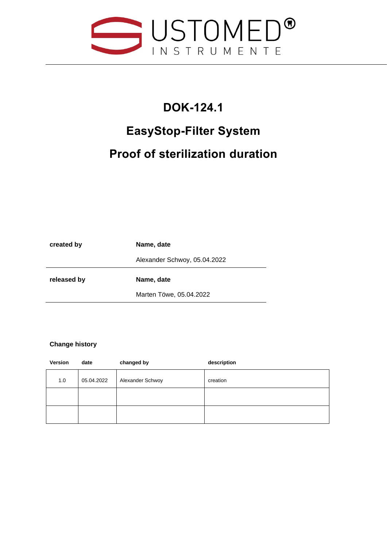

# **DOK-124.1**

# **EasyStop-Filter System**

# **Proof of sterilization duration**

| created by  | Name, date                   |  |
|-------------|------------------------------|--|
|             | Alexander Schwoy, 05.04.2022 |  |
| released by | Name, date                   |  |
|             | Marten Töwe, 05.04.2022      |  |

### **Change history**

| Version | date       | changed by       | description |
|---------|------------|------------------|-------------|
| 1.0     | 05.04.2022 | Alexander Schwoy | creation    |
|         |            |                  |             |
|         |            |                  |             |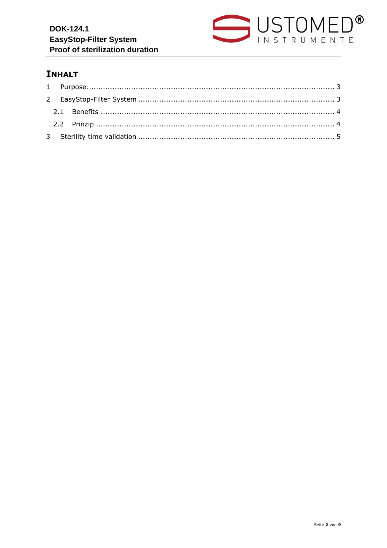

## **INHALT**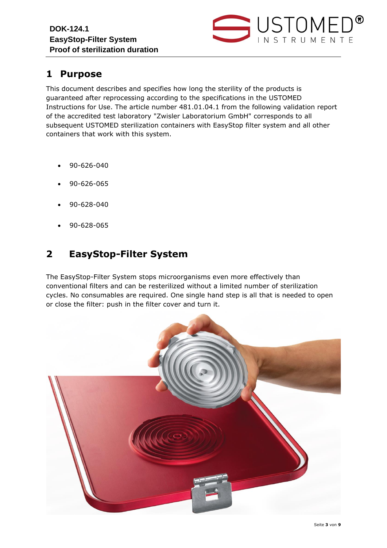

## <span id="page-2-0"></span>**1 Purpose**

This document describes and specifies how long the sterility of the products is guaranteed after reprocessing according to the specifications in the USTOMED Instructions for Use. The article number 481.01.04.1 from the following validation report of the accredited test laboratory "Zwisler Laboratorium GmbH" corresponds to all subsequent USTOMED sterilization containers with EasyStop filter system and all other containers that work with this system.

- 90-626-040
- 90-626-065
- 90-628-040
- 90-628-065

## <span id="page-2-1"></span>**2 EasyStop-Filter System**

The EasyStop-Filter System stops microorganisms even more effectively than conventional filters and can be resterilized without a limited number of sterilization cycles. No consumables are required. One single hand step is all that is needed to open or close the filter: push in the filter cover and turn it.

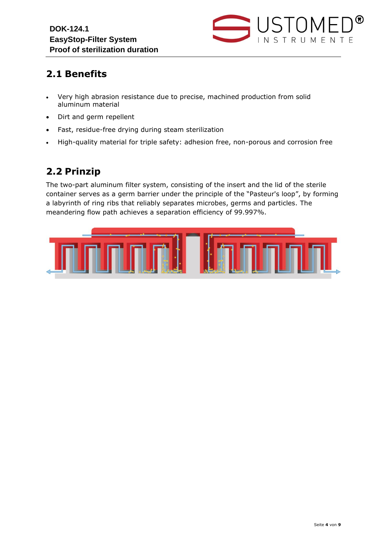

## <span id="page-3-0"></span>**2.1 Benefits**

- Very high abrasion resistance due to precise, machined production from solid aluminum material
- Dirt and germ repellent
- Fast, residue-free drying during steam sterilization
- High-quality material for triple safety: adhesion free, non-porous and corrosion free

## <span id="page-3-1"></span>**2.2 Prinzip**

The two-part aluminum filter system, consisting of the insert and the lid of the sterile container serves as a germ barrier under the principle of the "Pasteur's loop", by forming a labyrinth of ring ribs that reliably separates microbes, germs and particles. The meandering flow path achieves a separation efficiency of 99.997%.

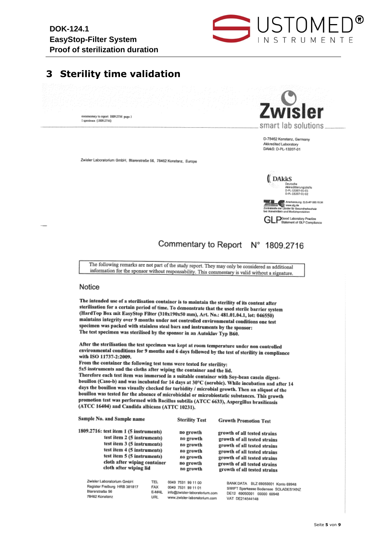

#### <span id="page-4-0"></span>3 **Sterility time validation**

commentey to report 1889.2716 page 1<br>I spenimen (1889.2716)

Zwisler Laboratorium GmbH, Blarerstraße 56, 78462 Konstanz, Europe



D-78462 Konstanz, Germany Akkredited Laboratory DAkkS: D-PL-13207-01

DARKS Deuw<br>Akkreditierungssw<br>D-PL-13207-01-02<br>D-PL-13207-01-02

.<br>Mung 216-AP-383.18.34 ww.zig.de får Gesandne<br>edishprodukt

GLPGood Laboratory Practice

## Commentary to Report N° 1809.2716

The following remarks are not part of the study report. They may only be considered as additional information for the sponsor without responsability. This commentary is valid without a signature.

### Notice

The intended use of a sterilisation container is to maintain the sterility of its content after sterilisation for a certain period of time. To demonstrate that the used sterile barrier system (HardTop Box mit EasyStop Filter (310x190x50 mm), Art. No.: 481.01.04.1, lot: 046550) maintains integrity over 9 months under not controlled environmental conditions one test specimen was packed with stainless steal bars and instruments by the sponsor: The test specimen was sterilised by the sponsor in an Autoklav Typ B60.

After the sterilisation the test specimen was kept at room temperature under non controlled environmental conditions for 9 months and 6 days followed by the test of sterility in compliance with ISO 11737-2:2009.

From the container the following test tems were tested for sterility:

5x5 instruments and the cloths after wiping the container and the lid.

Therefore each test item was immersed in a suitable container with Soy-bean casein digestbouillon (Caso-b) and was incubated for 14 days at 30°C (aerobic). While incubation and after 14 days the bouillon was visually checked for turbidity / microbial growth. Then an aliquot of the bouillon was tested for the absence of microbicidal or microbiostatic substances. This growth promotion test was performed with Bacillus subtilis (ATCC 6633), Aspergillus brasiliensis (ATCC 16404) and Candida albicans (ATTC 10231).

| Sample No. and Sample name                                                                                                                                                                                                   |                              | <b>Sterility Test</b>                                                                                     | <b>Growth Promotion Test</b>                                                                                                                                                                                                 |  |
|------------------------------------------------------------------------------------------------------------------------------------------------------------------------------------------------------------------------------|------------------------------|-----------------------------------------------------------------------------------------------------------|------------------------------------------------------------------------------------------------------------------------------------------------------------------------------------------------------------------------------|--|
| 1809.2716: test item 1 (5 instruments)<br>test item 2 (5 instruments)<br>test item 3 (5 instruments)<br>test item 4 (5 instruments)<br>test item 5 (5 instruments)<br>cloth after wiping container<br>cloth after wiping lid |                              | no growth<br>no growth<br>no growth<br>no growth<br>no growth<br>no growth<br>no growth                   | growth of all tested strains<br>growth of all tested strains<br>growth of all tested strains<br>growth of all tested strains<br>growth of all tested strains<br>growth of all tested strains<br>growth of all tested strains |  |
| Zwisler Laboratorium GmbH<br>Register Freiburg HRB 381817<br>Blarerstraße 56<br>78462 Konstanz                                                                                                                               | TEL.<br>FAX<br>E-MAIL<br>URL | 0049 7531 99 11 00<br>0049 7531 99 11 01<br>info@zwisler-laboratorium.com<br>www.zwisler-laboratorium.com | <b>BANK DATA</b><br>BLZ 69050001 Konto 69948<br>SWIFT Sparkasse Bodensee SOLADES1KNZ<br>DE12 69050001 00000 69948<br>VAT DE21454414B                                                                                         |  |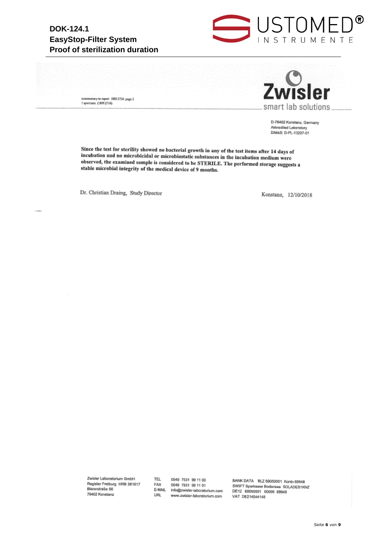### **DOK-124.1 EasyStop-Filter System Proof of sterilization duration**



commentary to report 1909.2716 page 2<br>1 spectrum (1809.2716)



D-78462 Konstanz, Germany Akkredited Laboratory DAkkS: D-PL-13207-01

Since the test for sterility showed no bacterial growth in any of the test items after 14 days of include the test for sterling showed no bacterial growth in any of the test items after 14 days of<br>incubation and no microbicidal or microbiostatic substances in the incubation medium were observed, the examined sample is considered to be STERILE. The performed storage suggests a<br>stable microbial integrity of the modies letter of the STERILE. The performed storage suggests a stable microbial integrity of the medical device of 9 months.

Dr. Christian Draing, Study Director

Konstanz, 12/10/2018

Zwisler Laboratorium GmbH TEL 0049 7531 99 11 00 BANK DATA BLZ 69050001 Konto 69948 Register Freiburg HRB 381817 **FAX** 0049 7531 99 11 01 SWIFT Sparkasse Bodonsee SOLADES1KNZ Blarerstraße 56 E-MAIL info@zwisler-laboratorium.com DE12 69050001 00000 69948 78462 Konstanz **URL** www.zwisier-laboratorium.com VAT DE214544148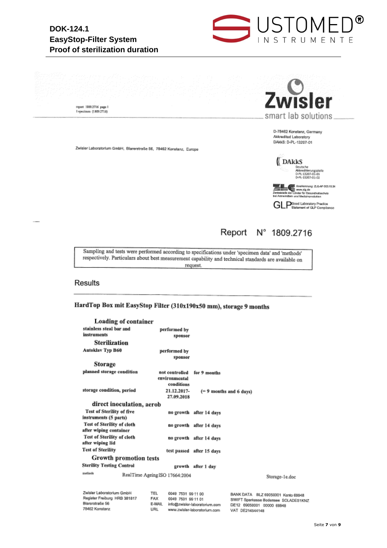

Hport 1889.2716 page 1<br>1 specimes (1809.2716)

Zwister Laboratorium GmbH, Blarerstraße 56, 78462 Konstanz, Europe



D-78462 Konstanz, Germany Akkredited Laboratory DAkkS: D-PL-13207-01

DAkkS Deutsche<br>Akkrealtferungsstelle<br>D-PL-13207-01-01<br>D-PL-13207-01-02



GLP<sup>Good</sup> Laboratory Practice

#### Report N° 1809.2716

Sampling and tests were performed according to specifications under 'specimen data' and 'methods' respectively. Particulars about best measurement capability and technical standards are available on request.

### Results

### HardTop Box mit EasyStop Filter (310x190x50 mm), storage 9 months

| Loading of container                         |                                  |                               |                                       |
|----------------------------------------------|----------------------------------|-------------------------------|---------------------------------------|
| stainless steal har and                      | performed by                     |                               |                                       |
| instruments                                  | sponsor                          |                               |                                       |
| Sterilization                                |                                  |                               |                                       |
| Autoklav Typ B60                             | performed by                     |                               |                                       |
|                                              | sponsor                          |                               |                                       |
| Storage                                      |                                  |                               |                                       |
| planned storage condition                    | not controlled                   | for 9 months                  |                                       |
|                                              | environmental                    |                               |                                       |
| storage condition, period                    | conditions<br>21.12.2017-        |                               |                                       |
|                                              | 27.09.2018                       | $( = 9$ months and 6 days)    |                                       |
| direct inoculation, aerob                    |                                  |                               |                                       |
| <b>Test of Sterility of five</b>             |                                  | no growth after 14 days       |                                       |
| instruments (5 parts)                        |                                  |                               |                                       |
| <b>Test of Sterility of cloth</b>            |                                  | no growth after 14 days       |                                       |
| after wiping container                       |                                  |                               |                                       |
| <b>Test of Sterility of cloth</b>            |                                  | no growth after 14 days       |                                       |
| after wiping lid<br><b>Test of Sterility</b> |                                  |                               |                                       |
|                                              |                                  | test passed after 15 days     |                                       |
| <b>Growth promotion tests</b>                |                                  |                               |                                       |
| <b>Sterility Testing Control</b>             |                                  | growth after 1 day            |                                       |
| ratheds                                      | RealTime Ageing ISO 17664:2004   |                               | Storage-1e.doc                        |
|                                              |                                  |                               |                                       |
| Zwisler Laboratorium GmbH                    | TEL.<br>0049 7531 99 11 00       |                               | BANK DATA<br>BLZ 69050001 Kanto 69948 |
| Register Freiburg HRB 381817                 | <b>FAX</b><br>0049 7531 99 11 01 |                               | SWIFT Sparkasse Bodensee SOLADES1KNZ  |
| Blarerstraße 56<br>78462 Konstanz            | E-MAIL<br>URL                    | info@zwisier-laboratorium.com | DE12 69050001 00000 69948             |
|                                              |                                  | www.zwisler-laboratorium.com  | VAT DE214544148                       |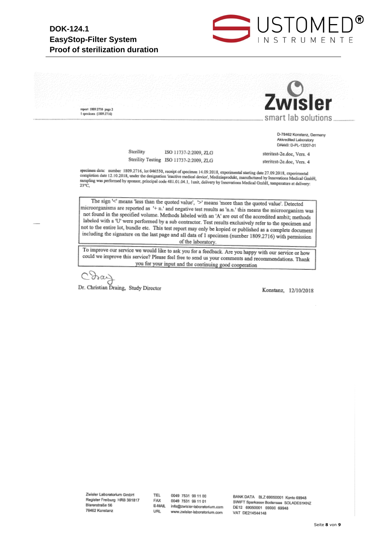

report 1989.2716 page 2 I specimen (1809.2716)

**ZIALLE** smart lab solutions

> D-78462 Konstanz, Germany Akkredited Laboraton DAkkS: D-PL-13207-01

steritest-2e.doc, Vers. 4 steritest-2e.doc. Vers. 4

specimen data: number 1809.2716, lot 046550, receipt of specimen 14.09.2018, experimental starting date 27.09.2018, experimental spectrum to the 12.10.2018, under the designation 'inactive medical device', Medizinprodukt, manufactured by Innovations Modical GmbH, samplino date 12.10.2018, under the designation 'inactive medical device', Medizinprod

ISO 11737-2:2009, ZLG

Sterility Testing ISO 11737-2:2009, ZLG

The sign '<' means 'less than the quoted value', >' means 'more than the quoted value'. Detected microorganisms are reported as '+ n.' and negative test results as 'n.n.' this means the microorganism was not found in the specified volume. Methods labeled with an 'A' are out of the accredited ambit; methods labeled with a 'U' were performed by a sub contractor. Test results exclusively refer to the specimen and not to the entire lot, bundle etc. This test report may only be kopied or published as a complete document including the signature on the last page and all data of 1 specimen (number 1809.2716) with permission of the laboratory.

To improve our service we would like to ask you for a feedback. Are you happy with our service or how could we improve this service? Please feel free to send us your comments and recommendations. Thank you for your input and the continuing good cooperation

C. Dray

Dr. Christian Draing, Study Director

Sterility

Konstanz, 12/10/2018

Zwisler Laboratorium GmbH **TEL** 0049 7531 99 11 00 Register Freiburg HRB 381817 FAX 0049 7531 99 11 01 Blarerstraße 56 E-MAIL info@zwisier-teboratorium.com 78462 Konstanz URL www.zwisler-laboratorium.com

BANK DATA BLZ 69050001 Konto 69948 SWIFT Sparkasse Bodensee SOLADES1KNZ DE12 69050001 00000 69948 VAT DE214544148